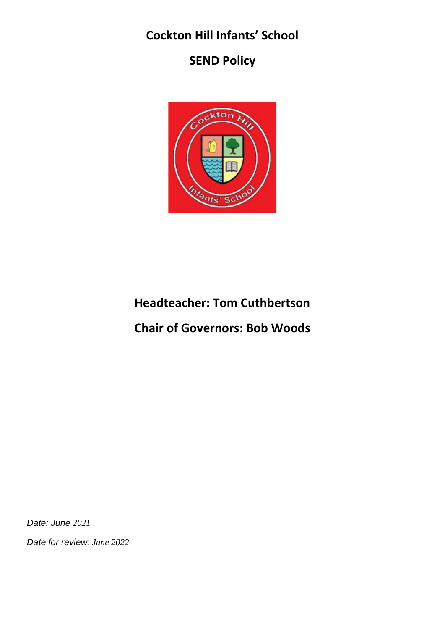# **Cockton Hill Infants' School**

# **SEND Policy**



# **Headteacher: Tom Cuthbertson**

# **Chair of Governors: Bob Woods**

*Date: June 2021*

*Date for review: June 2022*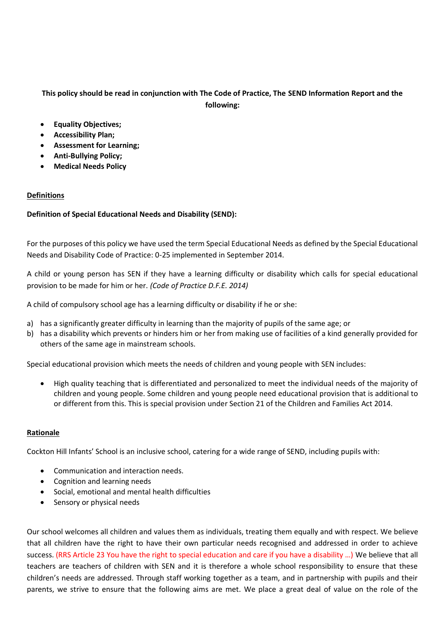# **This policy should be read in conjunction with The Code of Practice, The SEND Information Report and the following:**

- **Equality Objectives;**
- **Accessibility Plan;**
- **Assessment for Learning;**
- **Anti-Bullying Policy;**
- **Medical Needs Policy**

# **Definitions**

# **Definition of Special Educational Needs and Disability (SEND):**

For the purposes of this policy we have used the term Special Educational Needs as defined by the Special Educational Needs and Disability Code of Practice: 0-25 implemented in September 2014.

A child or young person has SEN if they have a learning difficulty or disability which calls for special educational provision to be made for him or her. *(Code of Practice D.F.E. 2014)* 

A child of compulsory school age has a learning difficulty or disability if he or she:

- a) has a significantly greater difficulty in learning than the majority of pupils of the same age; or
- b) has a disability which prevents or hinders him or her from making use of facilities of a kind generally provided for others of the same age in mainstream schools.

Special educational provision which meets the needs of children and young people with SEN includes:

• High quality teaching that is differentiated and personalized to meet the individual needs of the majority of children and young people. Some children and young people need educational provision that is additional to or different from this. This is special provision under Section 21 of the Children and Families Act 2014.

#### **Rationale**

Cockton Hill Infants' School is an inclusive school, catering for a wide range of SEND, including pupils with:

- Communication and interaction needs.
- Cognition and learning needs
- Social, emotional and mental health difficulties
- Sensory or physical needs

Our school welcomes all children and values them as individuals, treating them equally and with respect. We believe that all children have the right to have their own particular needs recognised and addressed in order to achieve success. (RRS Article 23 You have the right to special education and care if you have a disability …) We believe that all teachers are teachers of children with SEN and it is therefore a whole school responsibility to ensure that these children's needs are addressed. Through staff working together as a team, and in partnership with pupils and their parents, we strive to ensure that the following aims are met. We place a great deal of value on the role of the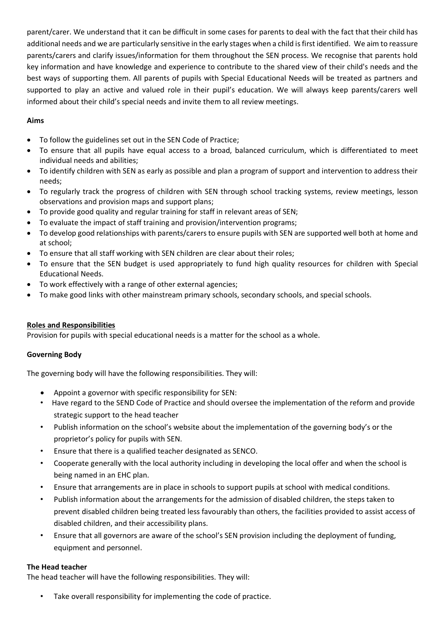parent/carer. We understand that it can be difficult in some cases for parents to deal with the fact that their child has additional needs and we are particularly sensitive in the early stages when a child is first identified. We aim to reassure parents/carers and clarify issues/information for them throughout the SEN process. We recognise that parents hold key information and have knowledge and experience to contribute to the shared view of their child's needs and the best ways of supporting them. All parents of pupils with Special Educational Needs will be treated as partners and supported to play an active and valued role in their pupil's education. We will always keep parents/carers well informed about their child's special needs and invite them to all review meetings.

# **Aims**

- To follow the guidelines set out in the SEN Code of Practice;
- To ensure that all pupils have equal access to a broad, balanced curriculum, which is differentiated to meet individual needs and abilities;
- To identify children with SEN as early as possible and plan a program of support and intervention to address their needs;
- To regularly track the progress of children with SEN through school tracking systems, review meetings, lesson observations and provision maps and support plans;
- To provide good quality and regular training for staff in relevant areas of SEN;
- To evaluate the impact of staff training and provision/intervention programs;
- To develop good relationships with parents/carers to ensure pupils with SEN are supported well both at home and at school;
- To ensure that all staff working with SEN children are clear about their roles;
- To ensure that the SEN budget is used appropriately to fund high quality resources for children with Special Educational Needs.
- To work effectively with a range of other external agencies;
- To make good links with other mainstream primary schools, secondary schools, and special schools.

# **Roles and Responsibilities**

Provision for pupils with special educational needs is a matter for the school as a whole.

# **Governing Body**

The governing body will have the following responsibilities. They will:

- Appoint a governor with specific responsibility for SEN:
- Have regard to the SEND Code of Practice and should oversee the implementation of the reform and provide strategic support to the head teacher
- Publish information on the school's website about the implementation of the governing body's or the proprietor's policy for pupils with SEN.
- Ensure that there is a qualified teacher designated as SENCO.
- Cooperate generally with the local authority including in developing the local offer and when the school is being named in an EHC plan.
- Ensure that arrangements are in place in schools to support pupils at school with medical conditions.
- Publish information about the arrangements for the admission of disabled children, the steps taken to prevent disabled children being treated less favourably than others, the facilities provided to assist access of disabled children, and their accessibility plans.
- Ensure that all governors are aware of the school's SEN provision including the deployment of funding, equipment and personnel.

#### **The Head teacher**

The head teacher will have the following responsibilities. They will:

Take overall responsibility for implementing the code of practice.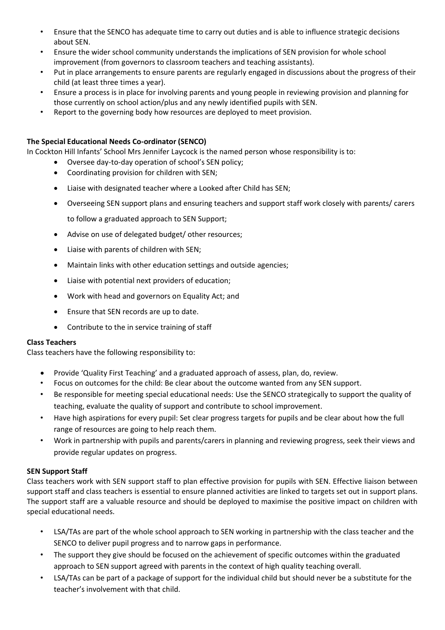- Ensure that the SENCO has adequate time to carry out duties and is able to influence strategic decisions about SEN.
- Ensure the wider school community understands the implications of SEN provision for whole school improvement (from governors to classroom teachers and teaching assistants).
- Put in place arrangements to ensure parents are regularly engaged in discussions about the progress of their child (at least three times a year).
- Ensure a process is in place for involving parents and young people in reviewing provision and planning for those currently on school action/plus and any newly identified pupils with SEN.
- Report to the governing body how resources are deployed to meet provision.

# **The Special Educational Needs Co-ordinator (SENCO)**

In Cockton Hill Infants' School Mrs Jennifer Laycock is the named person whose responsibility is to:

- Oversee day-to-day operation of school's SEN policy;
- Coordinating provision for children with SEN;
- Liaise with designated teacher where a Looked after Child has SEN;
- Overseeing SEN support plans and ensuring teachers and support staff work closely with parents/ carers

to follow a graduated approach to SEN Support;

- Advise on use of delegated budget/ other resources;
- Liaise with parents of children with SEN;
- Maintain links with other education settings and outside agencies;
- Liaise with potential next providers of education;
- Work with head and governors on Equality Act; and
- Ensure that SEN records are up to date.
- Contribute to the in service training of staff

# **Class Teachers**

Class teachers have the following responsibility to:

- Provide 'Quality First Teaching' and a graduated approach of assess, plan, do, review.
- Focus on outcomes for the child: Be clear about the outcome wanted from any SEN support.
- Be responsible for meeting special educational needs: Use the SENCO strategically to support the quality of teaching, evaluate the quality of support and contribute to school improvement.
- Have high aspirations for every pupil: Set clear progress targets for pupils and be clear about how the full range of resources are going to help reach them.
- Work in partnership with pupils and parents/carers in planning and reviewing progress, seek their views and provide regular updates on progress.

# **SEN Support Staff**

Class teachers work with SEN support staff to plan effective provision for pupils with SEN. Effective liaison between support staff and class teachers is essential to ensure planned activities are linked to targets set out in support plans. The support staff are a valuable resource and should be deployed to maximise the positive impact on children with special educational needs.

- LSA/TAs are part of the whole school approach to SEN working in partnership with the class teacher and the SENCO to deliver pupil progress and to narrow gaps in performance.
- The support they give should be focused on the achievement of specific outcomes within the graduated approach to SEN support agreed with parents in the context of high quality teaching overall.
- LSA/TAs can be part of a package of support for the individual child but should never be a substitute for the teacher's involvement with that child.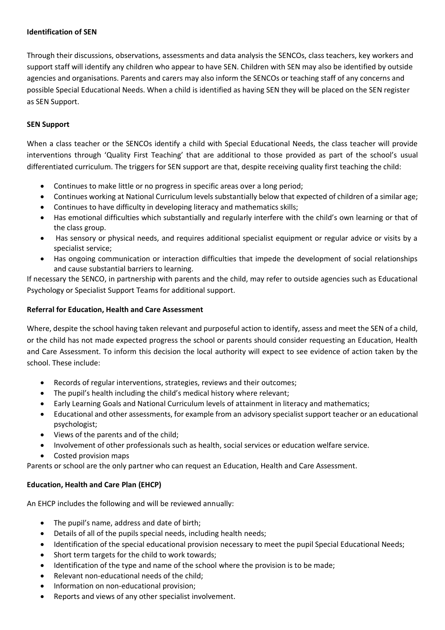#### **Identification of SEN**

Through their discussions, observations, assessments and data analysis the SENCOs, class teachers, key workers and support staff will identify any children who appear to have SEN. Children with SEN may also be identified by outside agencies and organisations. Parents and carers may also inform the SENCOs or teaching staff of any concerns and possible Special Educational Needs. When a child is identified as having SEN they will be placed on the SEN register as SEN Support.

#### **SEN Support**

When a class teacher or the SENCOs identify a child with Special Educational Needs, the class teacher will provide interventions through 'Quality First Teaching' that are additional to those provided as part of the school's usual differentiated curriculum. The triggers for SEN support are that, despite receiving quality first teaching the child:

- Continues to make little or no progress in specific areas over a long period;
- Continues working at National Curriculum levels substantially below that expected of children of a similar age;
- Continues to have difficulty in developing literacy and mathematics skills;
- Has emotional difficulties which substantially and regularly interfere with the child's own learning or that of the class group.
- Has sensory or physical needs, and requires additional specialist equipment or regular advice or visits by a specialist service;
- Has ongoing communication or interaction difficulties that impede the development of social relationships and cause substantial barriers to learning.

If necessary the SENCO, in partnership with parents and the child, may refer to outside agencies such as Educational Psychology or Specialist Support Teams for additional support.

#### **Referral for Education, Health and Care Assessment**

Where, despite the school having taken relevant and purposeful action to identify, assess and meet the SEN of a child, or the child has not made expected progress the school or parents should consider requesting an Education, Health and Care Assessment. To inform this decision the local authority will expect to see evidence of action taken by the school. These include:

- Records of regular interventions, strategies, reviews and their outcomes;
- The pupil's health including the child's medical history where relevant;
- Early Learning Goals and National Curriculum levels of attainment in literacy and mathematics;
- Educational and other assessments, for example from an advisory specialist support teacher or an educational psychologist;
- Views of the parents and of the child;
- Involvement of other professionals such as health, social services or education welfare service.
- Costed provision maps

Parents or school are the only partner who can request an Education, Health and Care Assessment.

# **Education, Health and Care Plan (EHCP)**

An EHCP includes the following and will be reviewed annually:

- The pupil's name, address and date of birth;
- Details of all of the pupils special needs, including health needs;
- Identification of the special educational provision necessary to meet the pupil Special Educational Needs;
- Short term targets for the child to work towards;
- Identification of the type and name of the school where the provision is to be made;
- Relevant non-educational needs of the child;
- Information on non-educational provision;
- Reports and views of any other specialist involvement.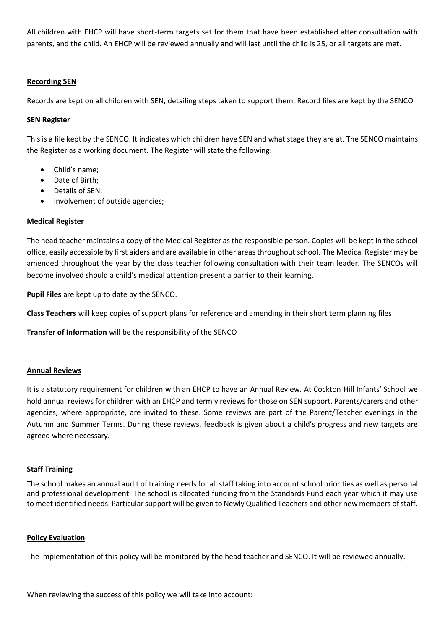All children with EHCP will have short-term targets set for them that have been established after consultation with parents, and the child. An EHCP will be reviewed annually and will last until the child is 25, or all targets are met.

# **Recording SEN**

Records are kept on all children with SEN, detailing steps taken to support them. Record files are kept by the SENCO

#### **SEN Register**

This is a file kept by the SENCO. It indicates which children have SEN and what stage they are at. The SENCO maintains the Register as a working document. The Register will state the following:

- Child's name;
- Date of Birth;
- Details of SEN;
- Involvement of outside agencies;

#### **Medical Register**

The head teacher maintains a copy of the Medical Register as the responsible person. Copies will be kept in the school office, easily accessible by first aiders and are available in other areas throughout school. The Medical Register may be amended throughout the year by the class teacher following consultation with their team leader. The SENCOs will become involved should a child's medical attention present a barrier to their learning.

**Pupil Files** are kept up to date by the SENCO.

**Class Teachers** will keep copies of support plans for reference and amending in their short term planning files

**Transfer of Information** will be the responsibility of the SENCO

#### **Annual Reviews**

It is a statutory requirement for children with an EHCP to have an Annual Review. At Cockton Hill Infants' School we hold annual reviews for children with an EHCP and termly reviews for those on SEN support. Parents/carers and other agencies, where appropriate, are invited to these. Some reviews are part of the Parent/Teacher evenings in the Autumn and Summer Terms. During these reviews, feedback is given about a child's progress and new targets are agreed where necessary.

#### **Staff Training**

The school makes an annual audit of training needs for all staff taking into account school priorities as well as personal and professional development. The school is allocated funding from the Standards Fund each year which it may use to meet identified needs. Particular support will be given to Newly Qualified Teachers and other new members of staff.

#### **Policy Evaluation**

The implementation of this policy will be monitored by the head teacher and SENCO. It will be reviewed annually.

When reviewing the success of this policy we will take into account: